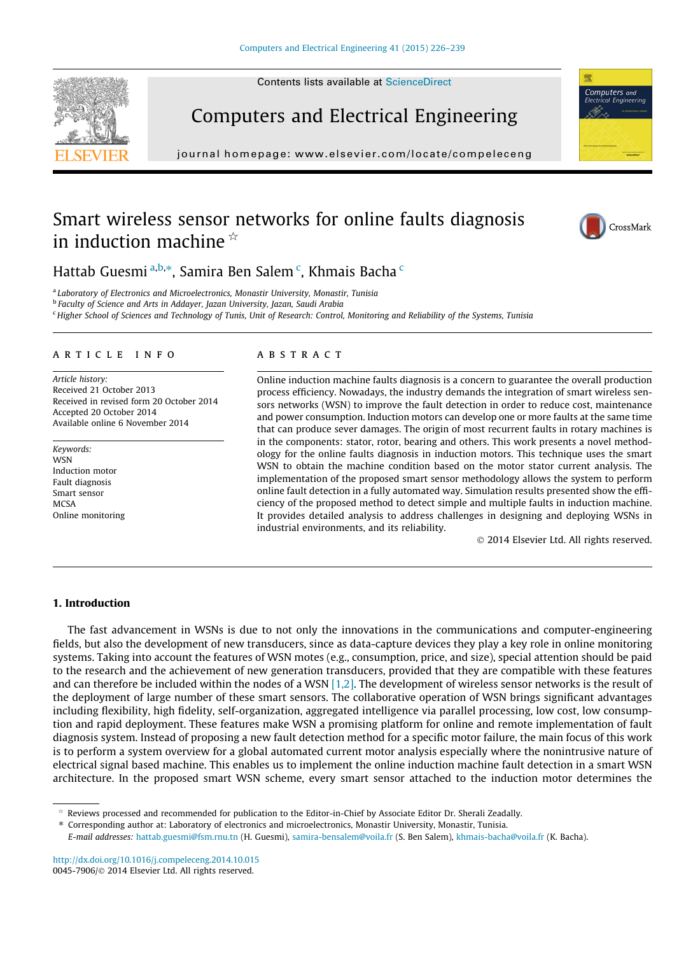Contents lists available at [ScienceDirect](http://www.sciencedirect.com/science/journal/00457906)





journal homepage: [www.elsevier.com/locate/compeleceng](http://www.elsevier.com/locate/compeleceng)

# **Computers** and

### Smart wireless sensor networks for online faults diagnosis in induction machine  $\hat{z}$



Hattab Guesmi <sup>a,b,\*</sup>, Samira Ben Salem<sup>c</sup>, Khmais Bacha<sup>c</sup>

<sup>a</sup> Laboratory of Electronics and Microelectronics, Monastir University, Monastir, Tunisia

**b Faculty of Science and Arts in Addayer, Jazan University, Jazan, Saudi Arabia** 

<sup>c</sup> Higher School of Sciences and Technology of Tunis, Unit of Research: Control, Monitoring and Reliability of the Systems, Tunisia

#### article info

Article history: Received 21 October 2013 Received in revised form 20 October 2014 Accepted 20 October 2014 Available online 6 November 2014

Keywords: **WSN** Induction motor Fault diagnosis Smart sensor **MCSA** Online monitoring

#### **ABSTRACT**

Online induction machine faults diagnosis is a concern to guarantee the overall production process efficiency. Nowadays, the industry demands the integration of smart wireless sensors networks (WSN) to improve the fault detection in order to reduce cost, maintenance and power consumption. Induction motors can develop one or more faults at the same time that can produce sever damages. The origin of most recurrent faults in rotary machines is in the components: stator, rotor, bearing and others. This work presents a novel methodology for the online faults diagnosis in induction motors. This technique uses the smart WSN to obtain the machine condition based on the motor stator current analysis. The implementation of the proposed smart sensor methodology allows the system to perform online fault detection in a fully automated way. Simulation results presented show the efficiency of the proposed method to detect simple and multiple faults in induction machine. It provides detailed analysis to address challenges in designing and deploying WSNs in industrial environments, and its reliability.

- 2014 Elsevier Ltd. All rights reserved.

#### 1. Introduction

The fast advancement in WSNs is due to not only the innovations in the communications and computer-engineering fields, but also the development of new transducers, since as data-capture devices they play a key role in online monitoring systems. Taking into account the features of WSN motes (e.g., consumption, price, and size), special attention should be paid to the research and the achievement of new generation transducers, provided that they are compatible with these features and can therefore be included within the nodes of a WSN  $[1,2]$ . The development of wireless sensor networks is the result of the deployment of large number of these smart sensors. The collaborative operation of WSN brings significant advantages including flexibility, high fidelity, self-organization, aggregated intelligence via parallel processing, low cost, low consumption and rapid deployment. These features make WSN a promising platform for online and remote implementation of fault diagnosis system. Instead of proposing a new fault detection method for a specific motor failure, the main focus of this work is to perform a system overview for a global automated current motor analysis especially where the nonintrusive nature of electrical signal based machine. This enables us to implement the online induction machine fault detection in a smart WSN architecture. In the proposed smart WSN scheme, every smart sensor attached to the induction motor determines the

⇑ Corresponding author at: Laboratory of electronics and microelectronics, Monastir University, Monastir, Tunisia.

E-mail addresses: [hattab.guesmi@fsm.rnu.tn](mailto:hattab.guesmi@fsm.rnu.tn) (H. Guesmi), [samira-bensalem@voila.fr](mailto:samira-bensalem@voila.fr) (S. Ben Salem), [khmais-bacha@voila.fr](mailto:khmais-bacha@voila.fr) (K. Bacha).

Reviews processed and recommended for publication to the Editor-in-Chief by Associate Editor Dr. Sherali Zeadally.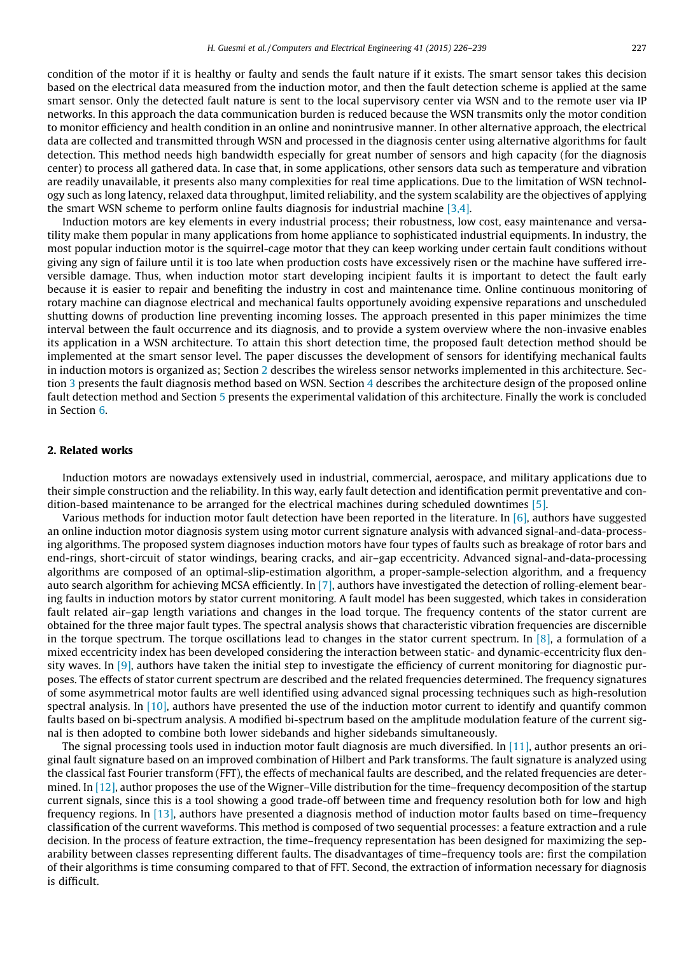condition of the motor if it is healthy or faulty and sends the fault nature if it exists. The smart sensor takes this decision based on the electrical data measured from the induction motor, and then the fault detection scheme is applied at the same smart sensor. Only the detected fault nature is sent to the local supervisory center via WSN and to the remote user via IP networks. In this approach the data communication burden is reduced because the WSN transmits only the motor condition to monitor efficiency and health condition in an online and nonintrusive manner. In other alternative approach, the electrical data are collected and transmitted through WSN and processed in the diagnosis center using alternative algorithms for fault detection. This method needs high bandwidth especially for great number of sensors and high capacity (for the diagnosis center) to process all gathered data. In case that, in some applications, other sensors data such as temperature and vibration are readily unavailable, it presents also many complexities for real time applications. Due to the limitation of WSN technology such as long latency, relaxed data throughput, limited reliability, and the system scalability are the objectives of applying the smart WSN scheme to perform online faults diagnosis for industrial machine [\[3,4\]](#page--1-0).

Induction motors are key elements in every industrial process; their robustness, low cost, easy maintenance and versatility make them popular in many applications from home appliance to sophisticated industrial equipments. In industry, the most popular induction motor is the squirrel-cage motor that they can keep working under certain fault conditions without giving any sign of failure until it is too late when production costs have excessively risen or the machine have suffered irreversible damage. Thus, when induction motor start developing incipient faults it is important to detect the fault early because it is easier to repair and benefiting the industry in cost and maintenance time. Online continuous monitoring of rotary machine can diagnose electrical and mechanical faults opportunely avoiding expensive reparations and unscheduled shutting downs of production line preventing incoming losses. The approach presented in this paper minimizes the time interval between the fault occurrence and its diagnosis, and to provide a system overview where the non-invasive enables its application in a WSN architecture. To attain this short detection time, the proposed fault detection method should be implemented at the smart sensor level. The paper discusses the development of sensors for identifying mechanical faults in induction motors is organized as; Section 2 describes the wireless sensor networks implemented in this architecture. Section [3](#page--1-0) presents the fault diagnosis method based on WSN. Section [4](#page--1-0) describes the architecture design of the proposed online fault detection method and Section [5](#page--1-0) presents the experimental validation of this architecture. Finally the work is concluded in Section [6.](#page--1-0)

#### 2. Related works

Induction motors are nowadays extensively used in industrial, commercial, aerospace, and military applications due to their simple construction and the reliability. In this way, early fault detection and identification permit preventative and condition-based maintenance to be arranged for the electrical machines during scheduled downtimes [\[5\].](#page--1-0)

Various methods for induction motor fault detection have been reported in the literature. In  $[6]$ , authors have suggested an online induction motor diagnosis system using motor current signature analysis with advanced signal-and-data-processing algorithms. The proposed system diagnoses induction motors have four types of faults such as breakage of rotor bars and end-rings, short-circuit of stator windings, bearing cracks, and air–gap eccentricity. Advanced signal-and-data-processing algorithms are composed of an optimal-slip-estimation algorithm, a proper-sample-selection algorithm, and a frequency auto search algorithm for achieving MCSA efficiently. In [\[7\]](#page--1-0), authors have investigated the detection of rolling-element bearing faults in induction motors by stator current monitoring. A fault model has been suggested, which takes in consideration fault related air–gap length variations and changes in the load torque. The frequency contents of the stator current are obtained for the three major fault types. The spectral analysis shows that characteristic vibration frequencies are discernible in the torque spectrum. The torque oscillations lead to changes in the stator current spectrum. In  $\lceil 8 \rceil$ , a formulation of a mixed eccentricity index has been developed considering the interaction between static- and dynamic-eccentricity flux den-sity waves. In [\[9\],](#page--1-0) authors have taken the initial step to investigate the efficiency of current monitoring for diagnostic purposes. The effects of stator current spectrum are described and the related frequencies determined. The frequency signatures of some asymmetrical motor faults are well identified using advanced signal processing techniques such as high-resolution spectral analysis. In [\[10\],](#page--1-0) authors have presented the use of the induction motor current to identify and quantify common faults based on bi-spectrum analysis. A modified bi-spectrum based on the amplitude modulation feature of the current signal is then adopted to combine both lower sidebands and higher sidebands simultaneously.

The signal processing tools used in induction motor fault diagnosis are much diversified. In [\[11\],](#page--1-0) author presents an original fault signature based on an improved combination of Hilbert and Park transforms. The fault signature is analyzed using the classical fast Fourier transform (FFT), the effects of mechanical faults are described, and the related frequencies are determined. In [\[12\],](#page--1-0) author proposes the use of the Wigner–Ville distribution for the time–frequency decomposition of the startup current signals, since this is a tool showing a good trade-off between time and frequency resolution both for low and high frequency regions. In [\[13\],](#page--1-0) authors have presented a diagnosis method of induction motor faults based on time–frequency classification of the current waveforms. This method is composed of two sequential processes: a feature extraction and a rule decision. In the process of feature extraction, the time–frequency representation has been designed for maximizing the separability between classes representing different faults. The disadvantages of time–frequency tools are: first the compilation of their algorithms is time consuming compared to that of FFT. Second, the extraction of information necessary for diagnosis is difficult.